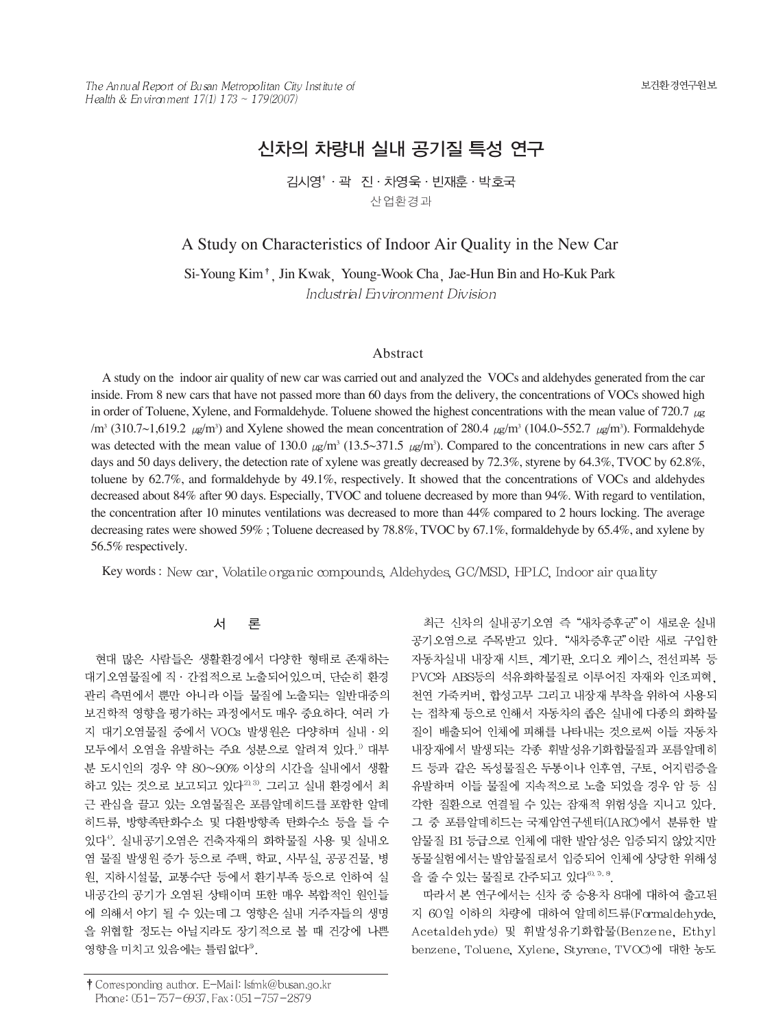The Annual Report of Busan Metropolitan City Institute of Health & Environment  $17(1)$   $173 \sim 179(2007)$ 

#### 보건환경연구원보

# 신차의 차량내 실내 공기질 특성 연구

김시영 <sup>\*</sup> · 곽 진 · 차영욱 · 빈재훈 · 박호국 산업환경과

#### A Study on Characteristics of Indoor Air Quality in the New Car

Si-Young Kim<sup>†</sup>, Jin Kwak, Young-Wook Cha, Jae-Hun Bin and Ho-Kuk Park Industrial Environment Division

#### Abstract

A study on the indoor air quality of new car was carried out and analyzed the VOCs and aldehydes generated from the car inside. From 8 new cars that have not passed more than 60 days from the delivery, the concentrations of VOCs showed high in order of Toluene, Xylene, and Formaldehyde. Toluene showed the highest concentrations with the mean value of 720.7  $\mu$ g  $/m^3$  (310.7~1,619.2  $\mu$ g/m<sup>3</sup>) and Xylene showed the mean concentration of 280.4  $\mu$ g/m<sup>3</sup> (104.0~552.7  $\mu$ g/m<sup>3</sup>). Formaldehyde was detected with the mean value of 130.0  $\mu$ g/m<sup>3</sup> (13.5~371.5  $\mu$ g/m<sup>3</sup>). Compared to the concentrations in new cars after 5 days and 50 days delivery, the detection rate of xylene was greatly decreased by 72.3%, styrene by 64.3%, TVOC by 62.8%, toluene by 62.7%, and formaldehyde by 49.1%, respectively. It showed that the concentrations of VOCs and aldehydes decreased about 84% after 90 days. Especially, TVOC and toluene decreased by more than 94%. With regard to ventilation, the concentration after 10 minutes ventilations was decreased to more than 44% compared to 2 hours locking. The average decreasing rates were showed 59% ; Toluene decreased by 78.8%, TVOC by 67.1%, formaldehyde by 65.4%, and xylene by 56.5% respectively.

Key words: New car, Volatile organic compounds, Aldehydes, GC/MSD, HPLC, Indoor air quality

#### 서 론

현대 많은 사람들은 생활환경에서 다양한 형태로 존재하는 대기오염물질에 직 · 간접적으로 노출되어있으며, 단순히 환경 관리 측면에서 뿐만 아니라 이들 물질에 노출되는 일반대중의 보건학적 영향을 평가하는 과정에서도 매우 중요하다. 여러 가 지 대기오염물질 중에서 VOCs 발생원은 다양하며 실내 · 외 모두에서 오염을 유발하는 주요 성분으로 알려져 있다.<sup>1)</sup> 대부 분 도시인의 경우 약 80~90% 이상의 시간을 실내에서 생활 하고 있는 것으로 보고되고 있다<sup>2), 3)</sup>. 그리고 실내 환경에서 최 근 관심을 끌고 있는 오염물질은 포름알데히드를 포함한 알데 히드류. 방향족탄화수소 및 다환방향족 탄화수소 등을 들 수 있다<sup>4)</sup>. 실내공기오염은 건축자재의 화학물질 사용 및 실내오 염 물질 발생원 증가 등으로 주택, 학교, 사무실, 공공건물, 병 원, 지하시설물, 교통수단 등에서 환기부족 등으로 인하여 실 내공간의 공기가 오염된 상태이며 또한 매우 복합적인 원인들 에 의해서 야기 될 수 있는데 그 영향은 실내 거주자들의 생명 을 위협할 정도는 아닐지라도 장기적으로 볼 때 건강에 나쁜 영향을 미치고 있음에는 틀림없다<sup>5</sup>.

† Corresponding author. E-Mail: Isfmk@busan.go.kr Phone: 051-757-6937, Fax: 051-757-2879

최근 신차의 실내공기오염 즉 "새차증후군"이 새로운 실내 공기오염으로 주목받고 있다. "새차증후군"이란 새로 구입한 자동차실내 내장재 시트, 계기판, 오디오 케이스, 전선피복 등 PVC와 ABS등의 석유화학물질로 이루어진 자재와 인조피혁. 천연 가죽커버, 합성고무 그리고 내장재 부착을 위하여 사용되 는 접착제 등으로 인해서 자동차의 좁은 실내에 다종의 화학물 질이 배출되어 인체에 피해를 나타내는 것으로써 이들 자동차 내장재에서 발생되는 각종 휘발성유기화합물질과 포름알데히 드 등과 같은 독성물질은 두통이나 인후염, 구토, 어지럼증을 유발하며 이들 물질에 지속적으로 노출 되었을 경우 암 등 심 각한 질환으로 연결될 수 있는 잠재적 위험성을 지니고 있다. 그 중 포름알데히드는 국제암연구센터(IARC)에서 분류한 발 암물질 B1 등급으로 인체에 대한 발암성은 입증되지 않았지만 동물실험에서는 발암물질로서 입증되어 인체에 상당한 위해성 을 줄 수 있는 물질로 간주되고 있다<sup>6), 7, 8</sup>.

따라서 본 연구에서는 신차 중 승용차 8대에 대하여 출고된 지 60일 이하의 차량에 대하여 알데히드류(Formaldehyde, Acetaldehyde) 및 휘발성유기화합물(Benzene, Ethyl benzene, Toluene, Xylene, Styrene, TVOC)에 대한 농도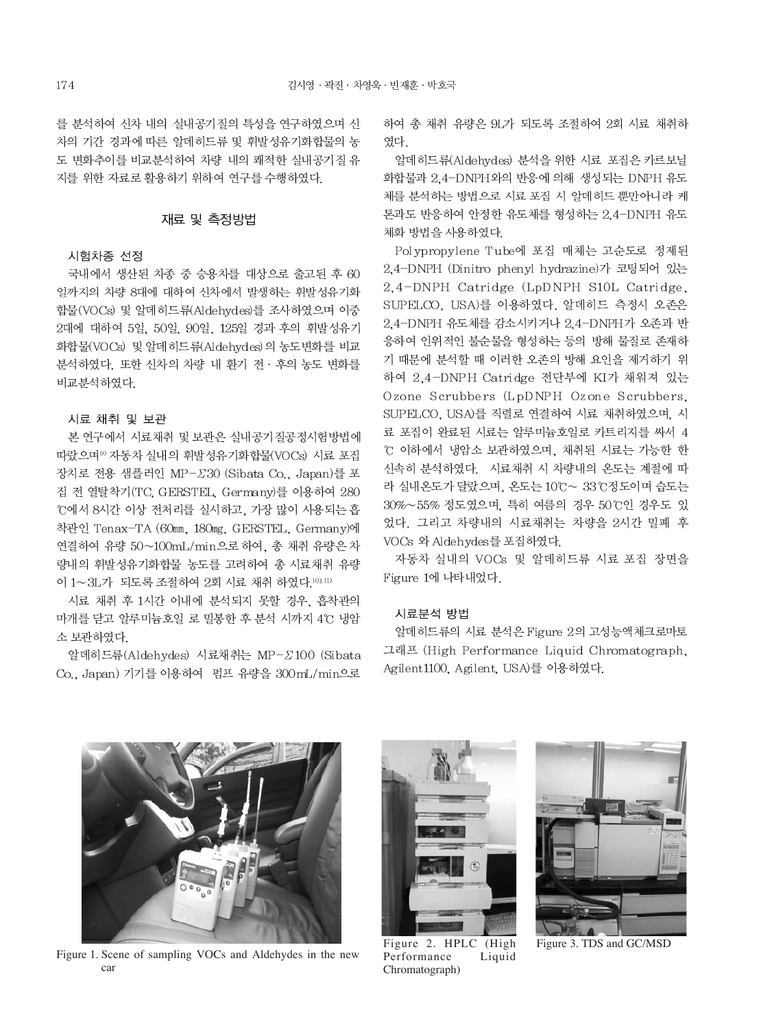를 분석하여 신차 내의 실내공기질의 특성을 연구하였으며 신 차의 기간 경과에 따른 알데히드류 및 휘발성유기화합물의 농 도 변화추이를 비교분석하여 차량 내의 쾌적한 실내공기질 유 지를 위한 자료로 활용하기 위하여 연구를 수행하였다.

#### 재료 및 측정방법

#### 시험차종 선정

국내에서 생산된 차종 중 승용차를 대상으로 출고된 후 60 일까지의 차량 8대에 대하여 신차에서 발생하는 휘발성유기화 합물(VOCs) 및 알데히드류(Aldehydes)를 조사하였으며 이중 2대에 대하여 5일, 50일, 90일, 125일 경과 후의 휘발성유기 화합물(VOCs) 및 알데히드류(Aldehydes) 의 농도변화를 비교 분석하였다. 또한 신차의 차량 내 환기 전 · 후의 농도 변화를 비교분석하였다.

#### 시료 채취 및 보관

본 연구에서 시료채취 및 보관은 실내공기질공정시험방법에 따랐으며<sup>9)</sup> 자동차 실내의 휘발성유기화합물(VOCs) 시료 포집 장치로 전용 샘플러인 MP-Z30 (Sibata Co., Japan)를 포 집 전 열탈착기(TC, GERSTEL, Germany)를 이용하여 280 ℃에서 8시간 이상 전처리를 실시하고, 가장 많이 사용되는 흡 착관인 Tenax-TA (60mm, 180mg, GERSTEL, Germany)에 연결하여 유량 50~100mL/min으로 하여, 총 채취 유량은 차 량내의 휘발성유기화합물 농도를 고려하여 총 시료채취 유량 이 1~3L가 되도록 조절하여 2회 시료 채취 하였다.10,11)

시료 채취 후 1시간 이내에 분석되지 못할 경우, 흡착관의 마개를 닫고 알루미늄호일 로 밀봉한 후 분석 시까지 4℃ 냉암 소 보관하였다.

알데히드류(Aldehydes) 시료채취는 MP-∑100 (Sibata Co., Japan) 기기를 이용하여 펌프 유량을 300mL/min으로

하여 총 채취 유량은 9L가 되도록 조절하여 2회 시료 채취하 였다.

알데히드류(Aldehydes) 분석을 위한 시료 포집은 카르보닐 화합물과 2.4-DNPH와의 반응에 의해 생성되는 DNPH 유도 체를 분석하는 방법으로 시료 포집 시 알데히드 뿐만아니라 케 톤과도 반응하여 안정한 유도체를 형성하는 2.4-DNPH 유도 체화 방법을 사용하였다.

Polypropylene Tube에 포집 매체는 고순도로 정제된 2.4-DNPH (Dinitro phenyl hydrazine)가 코팅되어 있는 2.4-DNPH Catridge (LpDNPH S10L Catridge, SUPELCO, USA)를 이용하였다. 알데히드 측정시 오존은 2.4-DNPH 유도체를 감소시키거나 2.4-DNPH가 오존과 반 응하여 인위적인 불순물을 형성하는 등의 방해 물질로 존재하 기 때문에 분석할 때 이러한 오존의 방해 요인을 제거하기 위 하여 2.4-DNPH Catridge 전단부에 KI가 채워져 있는 Ozone Scrubbers (LpDNPH Ozone Scrubbers, SUPELCO, USA)를 직렬로 연결하여 시료 채취하였으며, 시 료 포집이 완료된 시료는 알루미늄호일로 카트리지를 싸서 4 ℃ 이하에서 냉암소 보관하였으며, 채취된 시료는 가능한 한 신속히 분석하였다. 시료채취 시 차량내의 온도는 계절에 따 라 실내온도가 달랐으며, 온도는 10℃~ 33℃정도이며 습도는 30%~55% 정도였으며, 특히 여름의 경우 50℃인 경우도 있 었다. 그리고 차량내의 시료채취는 차량을 2시간 밀폐 후 VOCs 와 Aldehydes를 포집하였다.

자동차 실내의 VOCs 및 알데히드류 시료 포집 장면을 Figure 1에 나타내었다.

#### 시료분석 방법

알데히드류의 시료 분석은 Figure 2의 고성능액체크로마토 그래프 (High Performance Liquid Chromatograph, Agilent1100, Agilent, USA)를 이용하였다.



Figure 1. Scene of sampling VOCs and Aldehydes in the new car



Figure 2. HPLC (High Performance Liquid Chromatograph)



Figure 3. TDS and GC/MSD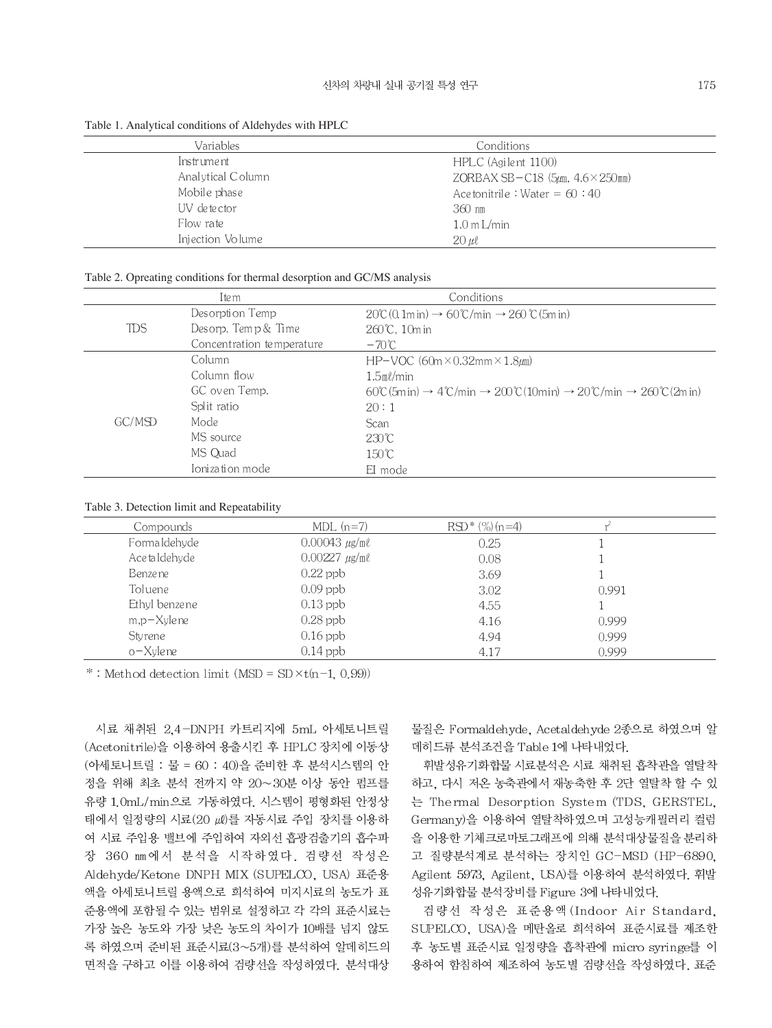Table 1. Analytical conditions of Aldehydes with HPLC

| Variables         | Conditions                                |
|-------------------|-------------------------------------------|
| Instrument        | HPLC (Agilent 1100)                       |
| Analytical Column | ZORBAX SB-C18 $(5\mu m, 4.6 \times 250m)$ |
| Mobile phase      | Acetonitrile : Water = $60:40$            |
| UV de te ctor     | 360 nm                                    |
| Flow rate         | $1.0 \text{ m L/min}$                     |
| Injection Volume  | $20 \mu\ell$                              |

#### Table 2. Opreating conditions for thermal desorption and GC/MS analysis

|            | Ite m                     | Conditions                                                                                                         |
|------------|---------------------------|--------------------------------------------------------------------------------------------------------------------|
|            | Desorption Temp           | $20^{\circ}$ C(0.1m in) $\rightarrow$ 60 $^{\circ}$ C/min $\rightarrow$ 260 $^{\circ}$ C(5m in)                    |
| <b>TDS</b> | Desorp. Temp & Time       | $260^{\circ}$ C. 10m in                                                                                            |
|            | Concentration temperature | $-70^{\circ}$ C                                                                                                    |
|            | Column                    | HP-VOC $(60m \times 0.32mm \times 1.8 \mu m)$                                                                      |
|            | Column flow               | $1.5m\ell/min$                                                                                                     |
|            | GC oven Temp.             | 60°C (5m in) $\rightarrow$ 4°C/min $\rightarrow$ 200°C (10m in) $\rightarrow$ 20°C/min $\rightarrow$ 260°C (2m in) |
|            | Split ratio               | 20:1                                                                                                               |
| GC/MSD     | Mode                      | Scan                                                                                                               |
|            | MS source                 | $230^{\circ}$ C                                                                                                    |
|            | MS Quad                   | 150℃                                                                                                               |
|            | Ionization mode           | EI mode                                                                                                            |
|            |                           |                                                                                                                    |

Table 3. Detection limit and Repeatability

| Compounds        | $MDL(n=7)$              | $RSD^*(\%)$ (n=4) |       |  |
|------------------|-------------------------|-------------------|-------|--|
| Formaldehyde     | $0.00043 \mu g/m\ell$   | 0.25              |       |  |
| Ace taldehyde    | $0.00227 \ \mu g/m\ell$ | 0.08              |       |  |
| Benze ne         | $0.22$ ppb              | 3.69              |       |  |
| Toluene          | $0.09$ ppb              | 3.02              | 0.991 |  |
| Ethyl benzene    | $0.13$ ppb              | 4.55              |       |  |
| $m.p - X$ yle ne | $0.28$ ppb              | 4.16              | 0.999 |  |
| Sty rene         | $0.16$ ppb              | 4.94              | 0.999 |  |
| o-Xylene         | $0.14$ ppb              | 4.17              | 0.999 |  |

\* : Method detection limit (MSD =  $SD \times t(n-1, 0.99)$ )

시료 채취된 2.4-DNPH 카트리지에 5mL 아세토니트릴 (Acetonitrile)을 이용하여 용출시킨 후 HPLC 장치에 이동상 (아세토니트릴 : 물 = 60 : 40)을 준비한 후 분석시스템의 안 정을 위해 최초 분석 전까지 약 20~30분 이상 동안 펌프를 유량 1.0mL/min으로 가동하였다. 시스템이 평형화된 안정상 태에서 일정량의 시료(20 μl)를 자동시료 주입 장치를 이용하 여 시료 주입용 밸브에 주입하여 자외선 흡광검출기의 흡수파 장 360 mm에서 분석을 시작하였다. 검량선 작성은 Aldehyde/Ketone DNPH MIX (SUPELCO, USA) 표준용 액을 아세토니트릴 용액으로 희석하여 미지시료의 농도가 표 준용액에 포함될 수 있는 범위로 설정하고 각 각의 표준시료는 가장 높은 농도와 가장 낮은 농도의 차이가 10배를 넘지 않도 록 하였으며 준비된 표준시료(3~5개)를 분석하여 알데히드의 면적을 구하고 이를 이용하여 검량선을 작성하였다. 분석대상 물질은 Formaldehyde, Acetaldehyde 2종으로 하였으며 알 데히드류 분석조건을 Table 1에 나타내었다.

휘발성유기화합물 시료분석은 시료 채취된 흡착관을 열탈착 하고, 다시 저온 농축관에서 재농축한 후 2단 열탈착 할 수 있 는 Thermal Desorption System (TDS, GERSTEL, Germany)을 이용하여 열탈착하였으며 고성능캐필러리 컬럼 을 이용한 기체크로마토그래프에 의해 분석대상물질을 분리하 고 질량분석계로 분석하는 장치인 GC-MSD (HP-6890, Agilent 5973, Agilent, USA)를 이용하여 분석하였다. 휘발 성유기화합물 분석장비를 Figure 3에 나타내었다.

검량선 작성은 표준용액(Indoor Air Standard, SUPELCO, USA)을 메탄올로 희석하여 표준시료를 제조한 후 농도별 표준시료 일정량을 흡착관에 micro syringe를 이 용하여 함침하여 제조하여 농도별 검량선을 작성하였다. 표준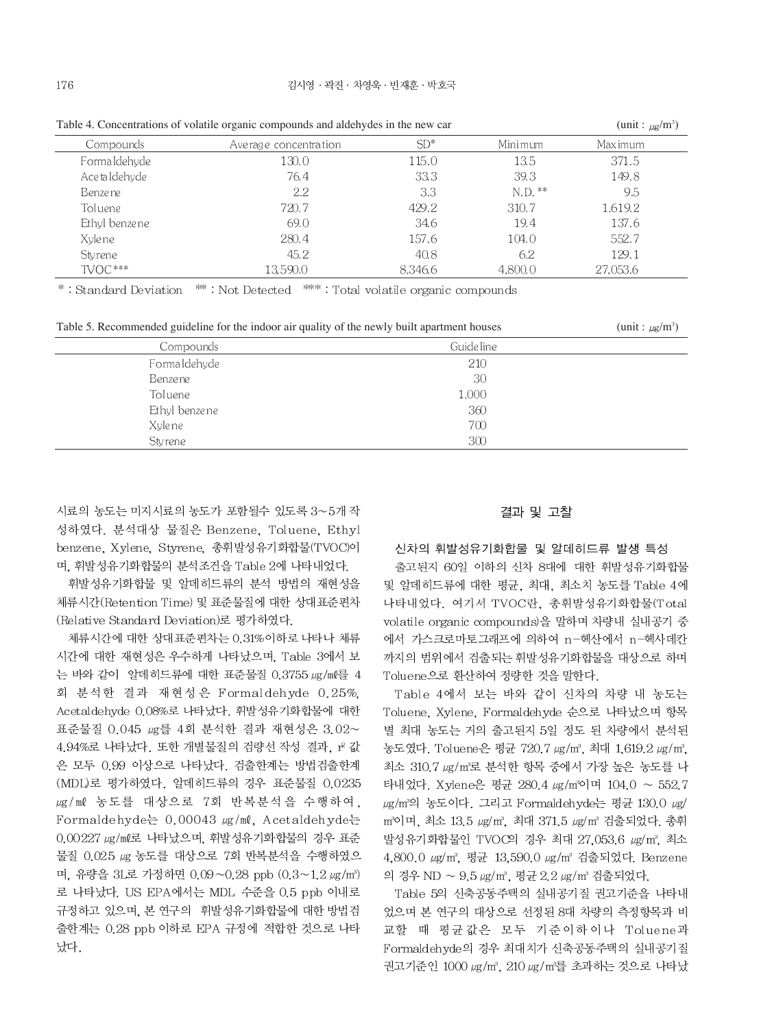| Table 4. Concentrations of volatile organic compounds and aldehydes in the new car |                       |         |           | (unit : $_{\mu g}$ /m <sup>3</sup> ) |  |
|------------------------------------------------------------------------------------|-----------------------|---------|-----------|--------------------------------------|--|
| Compounds                                                                          | Average concentration | $SD^*$  | Minimum   | Max imum                             |  |
| Formaldehyde                                                                       | 130.0                 | 115.0   | 13.5      | 371.5                                |  |
| Ace ta Idehyde                                                                     | 76.4                  | 33.3    | 39.3      | 149.8                                |  |
| Benzene                                                                            | 2.2                   | 3.3     | $N.D.$ ** | 9.5                                  |  |
| Toluene                                                                            | 720.7                 | 429.2   | 310.7     | 1.619.2                              |  |
| Ethyl benzene                                                                      | 69.0                  | 34.6    | 19.4      | 137.6                                |  |
| Xvlene                                                                             | 280.4                 | 157.6   | 104.0     | 552.7                                |  |
| Sty rene                                                                           | 45.2                  | 40.8    | 6.2       | 129.1                                |  |
| $TVOC***$                                                                          | 13.590.0              | 8.346.6 | 4.800.0   | 27,053.6                             |  |

\*: Standard Deviation \*\*: Not Detected \*\*\*: Total volatile organic compounds

Table 5. Recommended guideline for the indoor air quality of the newly built apartment houses (unit:  $\mu$ g/m<sup>3</sup>)

| Compounds     | Guideline |
|---------------|-----------|
| Formaldehyde  | 210       |
| Benzene       | 30        |
| Toluene       | 1,000     |
| Ethyl benzene | 360       |
| Xylene        | 700       |
| Styrene       | 300       |

시료의 농도는 미지시료의 농도가 포함될수 있도록 3~5개 작 성하였다. 분석대상 물질은 Benzene, Toluene, Ethyl benzene, Xylene, Styrene, 총휘발성유기화합물(TVOC)이 며, 휘발성유기화합물의 분석조건을 Table 2에 나타내었다.

휘발성유기화합물 및 알데히드류의 분석 방법의 재현성을 체류시간(Retention Time) 및 표준물질에 대한 상대표준편차 (Relative Standard Deviation)로 평가하였다.

체류시간에 대한 상대표준편차는 0.31%이하로 나타나 체류 시간에 대한 재현성은 우수하게 나타났으며, Table 3에서 보 는 바와 같이 알데히드류에 대한 표준물질 0.3755 μg/ml를 4 회 분석한 결과 재현성은 Formaldehyde 0.25%, Acetaldehyde 0.08%로 나타났다. 휘발성유기화합물에 대한 표준물질 0.045 mg를 4회 분석한 결과 재현성은 3.02~ 4.94%로 나타났다. 또한 개별물질의 검량선 작성 결과. r<sup>2</sup> 값 은 모두 0.99 이상으로 나타났다. 검출한계는 방법검출한계 (MDL)로 평가하였다. 알데히드류의 경우 표준물질 0.0235 μg/ml 농도를 대상으로 7회 반복분석을 수행하여, Formaldehyde는 0.00043 µg/ml, Acetaldehyde는 0.00227 ug/ml로 나타났으며, 휘발성유기화합물의 경우 표준 물질 0.025 μg 농도를 대상으로 7회 반복분석을 수행하였으 며, 유량을 3L로 가정하면 0.09~0.28 ppb (0.3~1.2 µg/m<sup>3</sup>) 로 나타났다. US EPA에서는 MDL 수준을 0.5 ppb 이내로 규정하고 있으며, 본 연구의 휘발성유기화합물에 대한 방법검 출한계는 0.28 ppb 이하로 EPA 규정에 적합한 것으로 나타 났다.

#### 결과 및 고찰

### 신차의 휘발성유기화합물 및 알데히드류 발생 특성

출고된지 60일 이하의 신차 8대에 대한 휘발성유기화합물 및 알데히드류에 대한 평균, 최대, 최소치 농도를 Table 4에 나타내었다. 여기서 TVOC란, 총휘발성유기화합물(Total volatile organic compounds)을 말하며 차량내 실내공기 중 에서 가스크로마토그래프에 의하여 n-헥산에서 n-헥사데칸 까지의 범위에서 검출되는 휘발성유기화합물을 대상으로 하며 Toluene으로 환산하여 정량한 것을 말한다.

Table 4에서 보는 바와 같이 신차의 차량 내 농도는 Toluene, Xylene, Formaldehyde 순으로 나타났으며 항목 별 최대 농도는 거의 출고된지 5일 정도 된 차량에서 분석된 농도였다. Toluene은 평균 720.7 μg/m3, 최대 1,619.2 μg/m3, 최소 310.7 µg/m'로 분석한 항목 중에서 가장 높은 농도를 나 타내었다. Xylene은 평균 280.4 µg/m<sup>3</sup>이며 104.0 ~ 552.7 μg/m<sup>3</sup>의 농도이다. 그리고 Formaldehyde는 평균 130.0 μg/ m3이며, 최소 13.5 μg/m3, 최대 371.5 μg/m3 검출되었다. 총휘 발성유기화합물인 TVOC의 경우 최대 27,053.6 µg/m3, 최소 4,800.0 μg/m3, 평균 13,590.0 μg/m3 검출되었다. Benzene 의 경우 ND ~ 9.5 μg/m3, 평균 2.2 μg/m3 검출되었다.

Table 5의 신축공동주택의 실내공기질 권고기준을 나타내 었으며 본 연구의 대상으로 선정된 8대 차량의 측정항목과 비 교할 때 평균값은 모두 기준이하이나 Toluene과 Formaldehyde의 경우 최대치가 신축공동주택의 실내공기질 권고기준인 1000 µg/m3, 210 µg/m3를 초과하는 것으로 나타났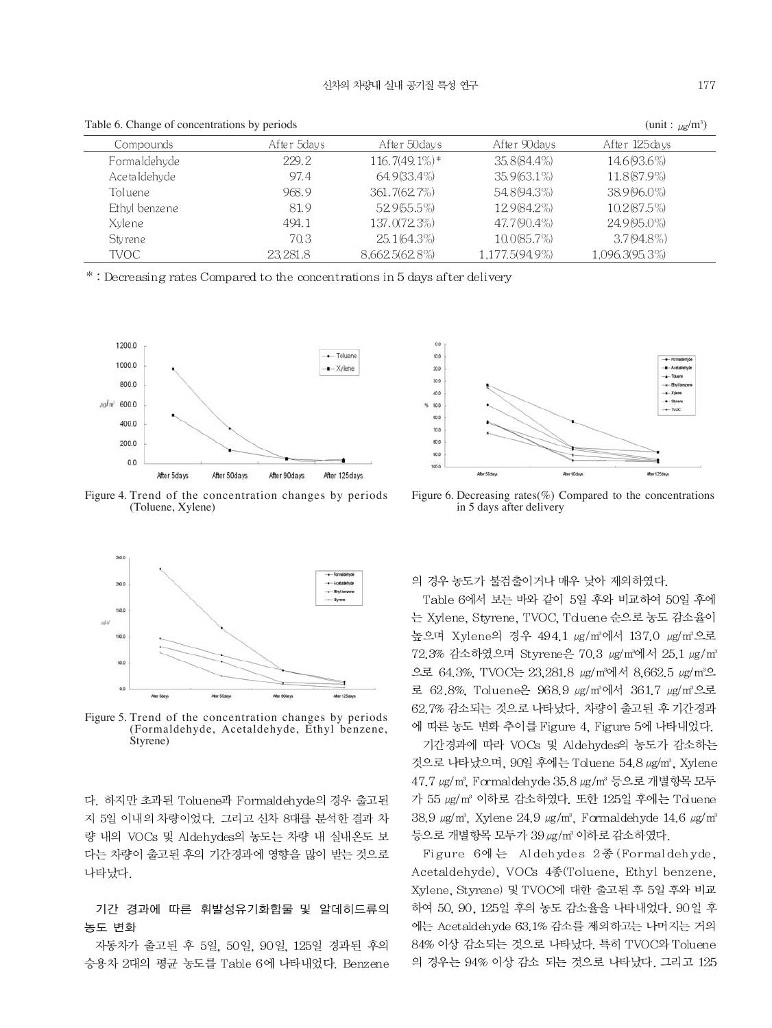| Table 6. Change of concentrations by periods |             |                  |                | (unit : $\mu g/m^3$ ) |
|----------------------------------------------|-------------|------------------|----------------|-----------------------|
| Compounds                                    | After 5days | After 50 days    | After 90 days  | After 125 days        |
| Formaldehyde                                 | 229.2       | $116.7(49.1\%)*$ | 35.8 (84.4%)   | 14.603.6%             |
| Ace taldehyde                                | 97.4        | $64.9(33.4\%)$   | 35.9 (63.1%)   | 11.8(87.9%)           |
| Toluene                                      | 968.9       | 361.7(62.7%)     | 54.804.3%      | 38.906.0%             |
| Ethyl benzene                                | 81.9        | 52965.5%         | 12.9(84.2%)    | 10.2(87.5%)           |
| Xvlene                                       | 494.1       | 137.0(72.3%)     | 47.700.4%      | 24.905.0%             |
| Sty rene                                     | 70.3        | 25.1 (64.3%)     | 10.0 (85.7%)   | $3.7(94.8\%)$         |
| <b>TVOC</b>                                  | 23, 281.8   | 8.662.5(62.8%)   | 1.177.5(94.9%) | 1.096.3(95.3%)        |

 $Table 6. Change of concentrations by periods$  (unit :

\*: Decreasing rates Compared to the concentrations in 5 days after delivery



Figure 4. Trend of the concentration changes by periods (Toluene, Xylene)



Figure 5. Trend of the concentration changes by periods (Formaldehyde, Acetaldehyde, Ethyl benzene, Styrene)

다. 하지만 초과된 Toluene과 Formaldehyde의 경우 출고된 지 5일 이내의 차량이었다. 그리고 신차 8대를 분석한 결과 차 량 내의 VOCs 및 Aldehydes의 농도는 차량 내 실내온도 보 다는 차량이 출고된 후의 기간경과에 영향을 많이 받는 것으로 나타났다.

### 기간 경과에 따른 휘발성유기화합물 및 알데히드류의 농도 변화

자동차가 출고된 후 5일, 50일, 90일, 125일 경과된 후의 승용차 2대의 평균 농도를 Table 6에 나타내었다. Benzene



Figure 6. Decreasing rates( $\%$ ) Compared to the concentrations in 5 days after delivery

의 경우 농도가 불검출이거나 매우 낮아 제외하였다.

Table 6에서 보는 바와 같이 5일 후와 비교하여 50일 후에 는 Xylene, Styrene, TVOC, Toluene 순으로 농도 감소율이 높으며 Xylene의 경우 494.1 ug/m<sup>3</sup>에서 137.0 ug/m<sup>3</sup>으로 72.3% 감소하였으며 Styrene은 70.3 ug/m<sup>3</sup>에서 25.1 ug/m<sup>3</sup> 으로 64.3%, TVOC는 23,281.8 µg/m<sup>3</sup>에서 8,662.5 µg/m<sup>3</sup>으 로 62.8%, Toluene은 968.9  $\mu$ g/m<sup>3</sup>에서 361.7  $\mu$ g/m<sup>3</sup>으로 62.7% 감소되는 것으로 나타났다. 차량이 출고된 후 기간경과 에 따른 농도 변화 추이를 Figure 4, Figure 5에 나타내었다.

기간경과에 따라 VOCs 및 Aldehydes의 농도가 감소하는 것으로 나타났으며, 90일 후에는 Tduene 54.8 ug/m3, Xylene 47.7 μg/m<sup>3</sup>, Formaldehyde 35.8 μg/m<sup>3</sup> 등으로 개별항목 모두 가 55 ug/m3 이하로 감소하였다. 또한 125일 후에는 Tduene 38.9  $\mu$ g/m<sup>3</sup>, Xylene 24.9  $\mu$ g/m<sup>3</sup>, Formaldehyde 14.6  $\mu$ g/m<sup>3</sup> 등으로 개별항목 모두가 39 µg/m3 이하로 감소하였다.

Figure 6에는 Aldehydes 2종 (Formaldehyde, Acetaldehyde), VOCs 4종(Toluene, Ethyl benzene, Xylene, Styrene) 및 TVOC에 대한 출고된 후 5일 후와 비교 하여 50, 90, 125일 후의 농도 감소율을 나타내었다. 90일 후 에는 Acetaldehyde 63.1% 감소를 제외하고는 나머지는 거의 84% 이상 감소되는 것으로 나타났다. 특히 TVOC와 Toluene 의 경우는 94% 이상 감소 되는 것으로 나타났다. 그리고 125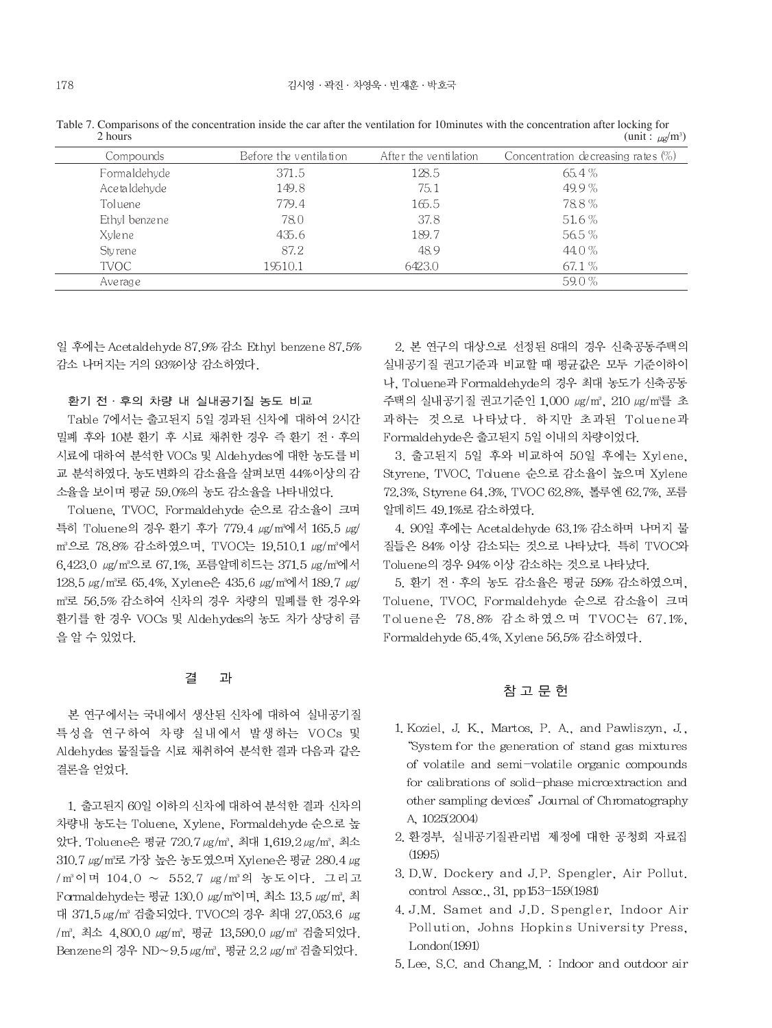| -------       |                        |                       | $\mu$ and $\mu$                        |
|---------------|------------------------|-----------------------|----------------------------------------|
| Compounds     | Before the ventilation | After the ventilation | Concentration de creasing rates $(\%)$ |
| Formaldehyde  | 371.5                  | 128.5                 | 65.4 %                                 |
| Ace taldehyde | 149.8                  | 75.1                  | $49.9\%$                               |
| Toluene       | 779.4                  | 165.5                 | 78.8%                                  |
| Ethyl benzene | 78.0                   | 37.8                  | 51.6 %                                 |
| Xvlene        | 435.6                  | 189.7                 | 56.5 %                                 |
| Sty rene      | 87.2                   | 48.9                  | 44.0%                                  |
| <b>TVOC</b>   | 19510.1                | 6423.0                | 67.1 %                                 |
| Ave rage      |                        |                       | 59.0%                                  |
|               |                        |                       |                                        |

Table 7. Comparisons of the concentration inside the car after the ventilation for 10minutes with the concentration after locking for  $2 \text{ hours}$  $(nnit + \omega/m^3)$ 

일 후에는 Acetaldehyde 87.9% 감소 Ethyl benzene 87.5% 감소 나머지는 거의 93%이상 감소하였다.

#### 환기 전 · 후의 차량 내 실내공기질 농도 비교

Table 7에서는 출고된지 5일 경과된 신차에 대하여 2시간 밀폐 후와 10분 환기 후 시료 채취한 경우 즉 환기 전 · 후의 시료에 대하여 분석한 VOCs 및 Aldehydes에 대한 농도를 비 교 분석하였다. 농도변화의 감소율을 살펴보면 44%이상의 감 소율을 보이며 평균 59.0%의 농도 감소율을 나타내었다.

Toluene, TVOC, Formaldehyde 순으로 감소율이 크며 특히 Toluene의 경우 환기 후가 779.4 μg/m3에서 165.5 μg/ m3으로 78.8% 감소하였으며, TVOC는 19.510.1 ug/m3에서 6,423.0 µg/m3으로 67.1%, 포름알데히드는 371.5 µg/m3에서 128.5 μg/m<sup>3</sup>로 65.4%, Xylene은 435.6 μg/m<sup>3</sup>에서 189.7 μg/ m3로 56.5% 감소하여 신차의 경우 차량의 밀폐를 한 경우와 환기를 한 경우 VOCs 및 Aldehydes의 농도 차가 상당히 큼 을 알 수 있었다.

#### 결 과

본 연구에서는 국내에서 생산된 신차에 대하여 실내공기질 특성을 연구하여 차량 실내에서 발생하는 VOCs 및 Aldehydes 물질들을 시료 채취하여 분석한 결과 다음과 같은 결론을 얻었다.

1. 출고된지 60일 이하의 신차에 대하여 분석한 결과 신차의 차량내 농도는 Toluene, Xylene, Formaldehyde 순으로 높 았다. Toluene은 평균 720.7 μg/m<sup>3</sup>, 최대 1,619.2 μg/m<sup>3</sup>, 최소 310.7 µg/m2로 가장 높은 농도였으며 Xylene은 평균 280.4 µg / m3이며 104.0 ~ 552.7 µg/m3의 농도이다. 그리고 Formaldehyde는 평균 130.0 μg/m<sup>3</sup>이며, 최소 13.5 μg/m<sup>3</sup>, 최 대 371.5 ug/m3 검출되었다. TVOC의 경우 최대 27.053.6 ug /m3, 최소 4,800.0 µg/m3, 평균 13,590.0 µg/m3 검출되었다. Benzene의 경우 ND~9.5 μg/m3, 평균 2.2 μg/m3 검출되었다.

2. 본 연구의 대상으로 선정된 8대의 경우 신축공동주택의 실내공기질 권고기준과 비교할 때 평균값은 모두 기준이하이 나, Toluene과 Formaldehyde의 경우 최대 농도가 신축공동 주택의 실내공기질 권고기준인 1,000 µg/m3, 210 µg/m3를 초 과하는 것으로 나타났다. 하지만 초과된 Toluene과 Formaldehyde은 출고된지 5일 이내의 차량이었다.

3. 출고된지 5일 후와 비교하여 50일 후에는 Xylene. Styrene, TVOC, Toluene 순으로 감소율이 높으며 Xylene 72.3%, Styrene 64.3%, TVOC 62.8%, 톨루엔 62.7%, 포름 알데히드 49.1%로 감소하였다.

4. 90일 후에는 Acetaldehyde 63.1% 감소하며 나머지 물 질들은 84% 이상 감소되는 것으로 나타났다. 특히 TVOC와 Toluene의 경우 94% 이상 감소하는 것으로 나타났다.

5. 환기 전 · 후의 농도 감소율은 평균 59% 감소하였으며, Toluene, TVOC, Formaldehyde 순으로 감소율이 크며 Toluene은 78.8% 감소하였으며 TVOC는 67.1%. Formaldehyde 65.4%, Xylene 56.5% 감소하였다.

## 참 고 문 헌

- 1. Koziel, J. K., Martos, P. A., and Pawliszyn, J., "System for the generation of stand gas mixtures of volatile and semi-volatile organic compounds for calibrations of solid-phase microextraction and other sampling devices" Journal of Chromatography A, 1025(2004)
- 2. 환경부, 실내공기질관리법 제정에 대한 공청회 자료집  $(1995)$
- 3. D.W. Dockery and J.P. Spengler, Air Pollut. control  $Ass \alpha$ ., 31, pp  $153 - 159(1981)$
- 4. J.M. Samet and J.D. Spengler, Indoor Air Pollution, Johns Hopkins University Press,  $London(1991)$
- 5. Lee, S.C. and Chang, M. : Indoor and outdoor air